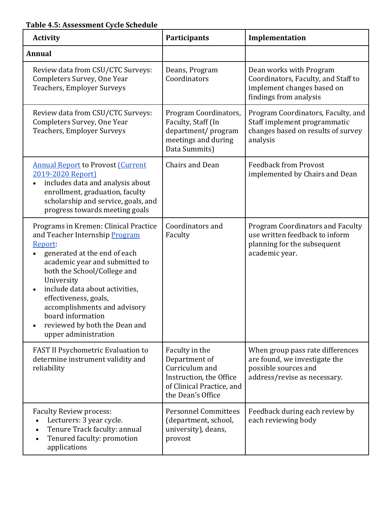## **Table 4.5: Assessment Cycle Schedule**

| <b>Activity</b>                                                                                                                                                                                                                                                                                                                                                                                      | <b>Participants</b>                                                                                                            | Implementation                                                                                                             |
|------------------------------------------------------------------------------------------------------------------------------------------------------------------------------------------------------------------------------------------------------------------------------------------------------------------------------------------------------------------------------------------------------|--------------------------------------------------------------------------------------------------------------------------------|----------------------------------------------------------------------------------------------------------------------------|
| <b>Annual</b>                                                                                                                                                                                                                                                                                                                                                                                        |                                                                                                                                |                                                                                                                            |
| Review data from CSU/CTC Surveys:<br>Completers Survey, One Year<br><b>Teachers, Employer Surveys</b>                                                                                                                                                                                                                                                                                                | Deans, Program<br>Coordinators                                                                                                 | Dean works with Program<br>Coordinators, Faculty, and Staff to<br>implement changes based on<br>findings from analysis     |
| Review data from CSU/CTC Surveys:<br>Completers Survey, One Year<br><b>Teachers, Employer Surveys</b>                                                                                                                                                                                                                                                                                                | Program Coordinators,<br>Faculty, Staff (In<br>department/program<br>meetings and during<br>Data Summits)                      | Program Coordinators, Faculty, and<br>Staff implement programmatic<br>changes based on results of survey<br>analysis       |
| <b>Annual Report to Provost Current</b><br>2019-2020 Report)<br>includes data and analysis about<br>enrollment, graduation, faculty<br>scholarship and service, goals, and<br>progress towards meeting goals                                                                                                                                                                                         | Chairs and Dean                                                                                                                | <b>Feedback from Provost</b><br>implemented by Chairs and Dean                                                             |
| Programs in Kremen: Clinical Practice<br>and Teacher Internship Program<br>Report:<br>generated at the end of each<br>$\bullet$<br>academic year and submitted to<br>both the School/College and<br>University<br>include data about activities,<br>$\bullet$<br>effectiveness, goals,<br>accomplishments and advisory<br>board information<br>reviewed by both the Dean and<br>upper administration | Coordinators and<br>Faculty                                                                                                    | <b>Program Coordinators and Faculty</b><br>use written feedback to inform<br>planning for the subsequent<br>academic year. |
| FAST II Psychometric Evaluation to<br>determine instrument validity and<br>reliability                                                                                                                                                                                                                                                                                                               | Faculty in the<br>Department of<br>Curriculum and<br>Instruction, the Office<br>of Clinical Practice, and<br>the Dean's Office | When group pass rate differences<br>are found, we investigate the<br>possible sources and<br>address/revise as necessary.  |
| <b>Faculty Review process:</b><br>Lecturers: 3 year cycle.<br>Tenure Track faculty: annual<br>Tenured faculty: promotion<br>$\bullet$<br>applications                                                                                                                                                                                                                                                | <b>Personnel Committees</b><br>(department, school,<br>university), deans,<br>provost                                          | Feedback during each review by<br>each reviewing body                                                                      |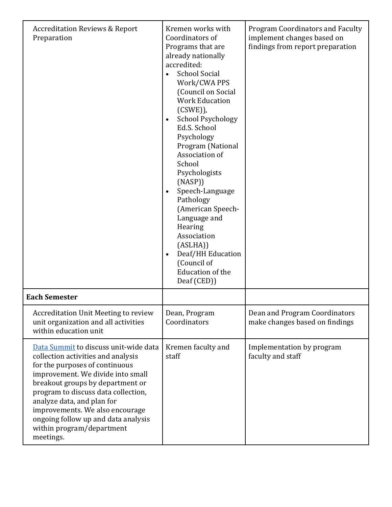| <b>Accreditation Reviews &amp; Report</b><br>Preparation                                                                                                                                                                                                                                                                                                                        | Kremen works with<br>Coordinators of<br>Programs that are<br>already nationally<br>accredited:<br><b>School Social</b><br>$\bullet$<br>Work/CWA PPS<br>(Council on Social<br><b>Work Education</b><br>$(CSWE)$ ),<br><b>School Psychology</b><br>$\bullet$<br>Ed.S. School<br>Psychology<br>Program (National<br>Association of<br>School<br>Psychologists<br>(NASP))<br>Speech-Language<br>$\bullet$<br>Pathology<br>(American Speech-<br>Language and<br>Hearing<br>Association<br>(ASLHA))<br>Deaf/HH Education<br>$\bullet$<br>(Council of<br><b>Education of the</b><br>Deaf (CED)) | <b>Program Coordinators and Faculty</b><br>implement changes based on<br>findings from report preparation |
|---------------------------------------------------------------------------------------------------------------------------------------------------------------------------------------------------------------------------------------------------------------------------------------------------------------------------------------------------------------------------------|------------------------------------------------------------------------------------------------------------------------------------------------------------------------------------------------------------------------------------------------------------------------------------------------------------------------------------------------------------------------------------------------------------------------------------------------------------------------------------------------------------------------------------------------------------------------------------------|-----------------------------------------------------------------------------------------------------------|
| <b>Each Semester</b>                                                                                                                                                                                                                                                                                                                                                            |                                                                                                                                                                                                                                                                                                                                                                                                                                                                                                                                                                                          |                                                                                                           |
| <b>Accreditation Unit Meeting to review</b><br>unit organization and all activities<br>within education unit                                                                                                                                                                                                                                                                    | Dean, Program<br>Coordinators                                                                                                                                                                                                                                                                                                                                                                                                                                                                                                                                                            | Dean and Program Coordinators<br>make changes based on findings                                           |
| Data Summit to discuss unit-wide data<br>collection activities and analysis<br>for the purposes of continuous<br>improvement. We divide into small<br>breakout groups by department or<br>program to discuss data collection,<br>analyze data, and plan for<br>improvements. We also encourage<br>ongoing follow up and data analysis<br>within program/department<br>meetings. | Kremen faculty and<br>staff                                                                                                                                                                                                                                                                                                                                                                                                                                                                                                                                                              | Implementation by program<br>faculty and staff                                                            |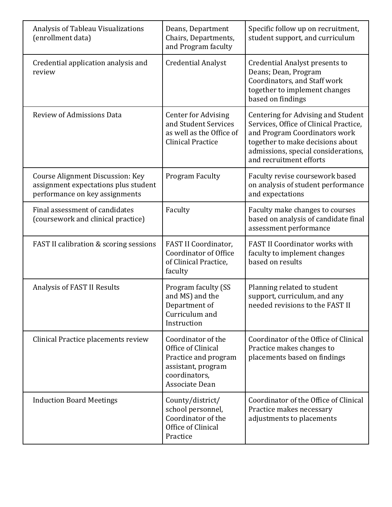| Analysis of Tableau Visualizations<br>(enrollment data)                                                    | Deans, Department<br>Chairs, Departments,<br>and Program faculty                                                          | Specific follow up on recruitment,<br>student support, and curriculum                                                                                                                                               |
|------------------------------------------------------------------------------------------------------------|---------------------------------------------------------------------------------------------------------------------------|---------------------------------------------------------------------------------------------------------------------------------------------------------------------------------------------------------------------|
| Credential application analysis and<br>review                                                              | <b>Credential Analyst</b>                                                                                                 | <b>Credential Analyst presents to</b><br>Deans; Dean, Program<br>Coordinators, and Staff work<br>together to implement changes<br>based on findings                                                                 |
| <b>Review of Admissions Data</b>                                                                           | <b>Center for Advising</b><br>and Student Services<br>as well as the Office of<br><b>Clinical Practice</b>                | Centering for Advising and Student<br>Services, Office of Clinical Practice,<br>and Program Coordinators work<br>together to make decisions about<br>admissions, special considerations,<br>and recruitment efforts |
| Course Alignment Discussion: Key<br>assignment expectations plus student<br>performance on key assignments | <b>Program Faculty</b>                                                                                                    | Faculty revise coursework based<br>on analysis of student performance<br>and expectations                                                                                                                           |
| Final assessment of candidates<br>(coursework and clinical practice)                                       | Faculty                                                                                                                   | Faculty make changes to courses<br>based on analysis of candidate final<br>assessment performance                                                                                                                   |
| FAST II calibration & scoring sessions                                                                     | FAST II Coordinator,<br><b>Coordinator of Office</b><br>of Clinical Practice,<br>faculty                                  | FAST II Coordinator works with<br>faculty to implement changes<br>based on results                                                                                                                                  |
| Analysis of FAST II Results                                                                                | Program faculty (SS<br>and MS) and the<br>Department of<br>Curriculum and<br>Instruction                                  | Planning related to student<br>support, curriculum, and any<br>needed revisions to the FAST II                                                                                                                      |
| Clinical Practice placements review                                                                        | Coordinator of the<br>Office of Clinical<br>Practice and program<br>assistant, program<br>coordinators,<br>Associate Dean | Coordinator of the Office of Clinical<br>Practice makes changes to<br>placements based on findings                                                                                                                  |
| <b>Induction Board Meetings</b>                                                                            | County/district/<br>school personnel,<br>Coordinator of the<br>Office of Clinical<br>Practice                             | Coordinator of the Office of Clinical<br>Practice makes necessary<br>adjustments to placements                                                                                                                      |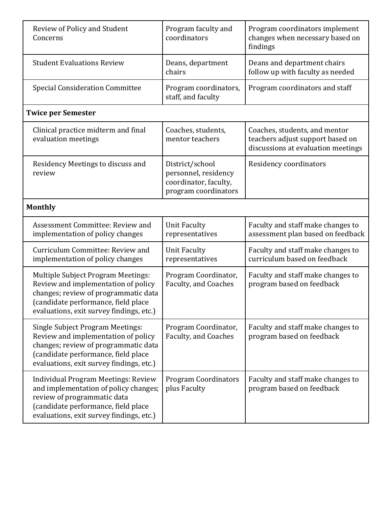| Review of Policy and Student<br>Concerns                                                                                                                                                                    | Program faculty and<br>coordinators                                                      | Program coordinators implement<br>changes when necessary based on<br>findings                           |  |
|-------------------------------------------------------------------------------------------------------------------------------------------------------------------------------------------------------------|------------------------------------------------------------------------------------------|---------------------------------------------------------------------------------------------------------|--|
| <b>Student Evaluations Review</b>                                                                                                                                                                           | Deans, department<br>chairs                                                              | Deans and department chairs<br>follow up with faculty as needed                                         |  |
| <b>Special Consideration Committee</b>                                                                                                                                                                      | Program coordinators,<br>staff, and faculty                                              | Program coordinators and staff                                                                          |  |
| <b>Twice per Semester</b>                                                                                                                                                                                   |                                                                                          |                                                                                                         |  |
| Clinical practice midterm and final<br>evaluation meetings                                                                                                                                                  | Coaches, students,<br>mentor teachers                                                    | Coaches, students, and mentor<br>teachers adjust support based on<br>discussions at evaluation meetings |  |
| Residency Meetings to discuss and<br>review                                                                                                                                                                 | District/school<br>personnel, residency<br>coordinator, faculty,<br>program coordinators | Residency coordinators                                                                                  |  |
| <b>Monthly</b>                                                                                                                                                                                              |                                                                                          |                                                                                                         |  |
| Assessment Committee: Review and<br>implementation of policy changes                                                                                                                                        | <b>Unit Faculty</b><br>representatives                                                   | Faculty and staff make changes to<br>assessment plan based on feedback                                  |  |
| Curriculum Committee: Review and<br>implementation of policy changes                                                                                                                                        | <b>Unit Faculty</b><br>representatives                                                   | Faculty and staff make changes to<br>curriculum based on feedback                                       |  |
| <b>Multiple Subject Program Meetings:</b><br>Review and implementation of policy<br>changes; review of programmatic data<br>(candidate performance, field place<br>evaluations, exit survey findings, etc.) | Program Coordinator,<br>Faculty, and Coaches                                             | Faculty and staff make changes to<br>program based on feedback                                          |  |
| <b>Single Subject Program Meetings:</b><br>Review and implementation of policy<br>changes; review of programmatic data<br>(candidate performance, field place<br>evaluations, exit survey findings, etc.)   | Program Coordinator,<br>Faculty, and Coaches                                             | Faculty and staff make changes to<br>program based on feedback                                          |  |
| <b>Individual Program Meetings: Review</b><br>and implementation of policy changes;<br>review of programmatic data<br>(candidate performance, field place<br>evaluations, exit survey findings, etc.)       | <b>Program Coordinators</b><br>plus Faculty                                              | Faculty and staff make changes to<br>program based on feedback                                          |  |